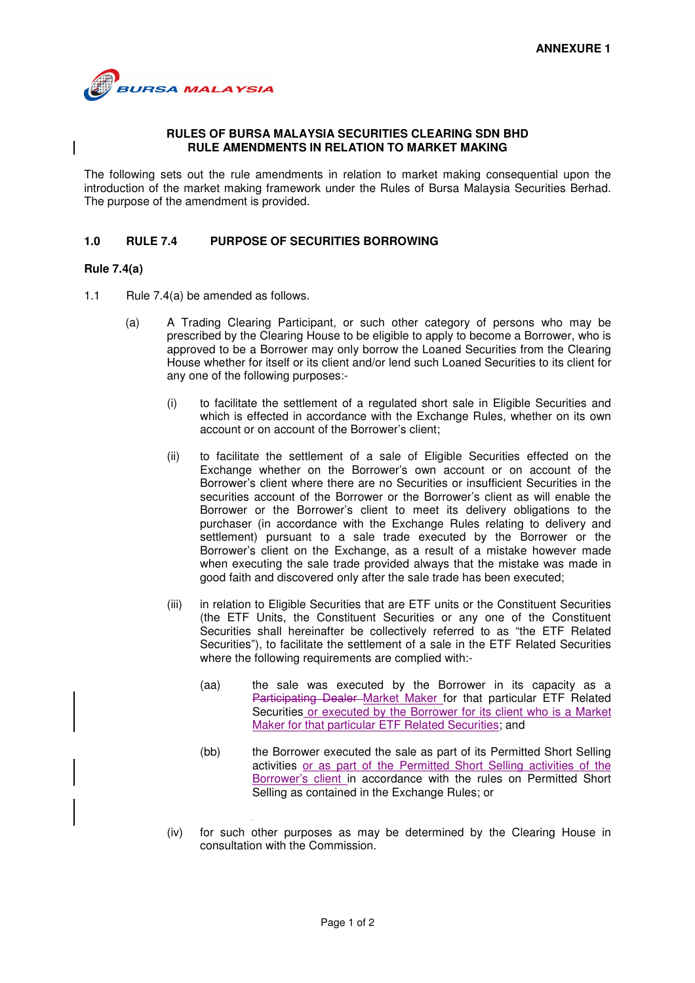

## **RULES OF BURSA MALAYSIA SECURITIES CLEARING SDN BHD RULE AMENDMENTS IN RELATION TO MARKET MAKING**

The following sets out the rule amendments in relation to market making consequential upon the introduction of the market making framework under the Rules of Bursa Malaysia Securities Berhad. The purpose of the amendment is provided.

## **1.0 RULE 7.4 PURPOSE OF SECURITIES BORROWING**

## **Rule 7.4(a)**

- 1.1 Rule 7.4(a) be amended as follows.
	- (a) A Trading Clearing Participant, or such other category of persons who may be prescribed by the Clearing House to be eligible to apply to become a Borrower, who is approved to be a Borrower may only borrow the Loaned Securities from the Clearing House whether for itself or its client and/or lend such Loaned Securities to its client for any one of the following purposes:-
		- (i) to facilitate the settlement of a regulated short sale in Eligible Securities and which is effected in accordance with the Exchange Rules, whether on its own account or on account of the Borrower's client;
		- (ii) to facilitate the settlement of a sale of Eligible Securities effected on the Exchange whether on the Borrower's own account or on account of the Borrower's client where there are no Securities or insufficient Securities in the securities account of the Borrower or the Borrower's client as will enable the Borrower or the Borrower's client to meet its delivery obligations to the purchaser (in accordance with the Exchange Rules relating to delivery and settlement) pursuant to a sale trade executed by the Borrower or the Borrower's client on the Exchange, as a result of a mistake however made when executing the sale trade provided always that the mistake was made in good faith and discovered only after the sale trade has been executed;
		- (iii) in relation to Eligible Securities that are ETF units or the Constituent Securities (the ETF Units, the Constituent Securities or any one of the Constituent Securities shall hereinafter be collectively referred to as "the ETF Related Securities"), to facilitate the settlement of a sale in the ETF Related Securities where the following requirements are complied with:-
			- (aa) the sale was executed by the Borrower in its capacity as a Participating Dealer Market Maker for that particular ETF Related Securities or executed by the Borrower for its client who is a Market Maker for that particular ETF Related Securities; and
			- (bb) the Borrower executed the sale as part of its Permitted Short Selling activities or as part of the Permitted Short Selling activities of the Borrower's client in accordance with the rules on Permitted Short Selling as contained in the Exchange Rules; or
		- (iv) for such other purposes as may be determined by the Clearing House in consultation with the Commission.